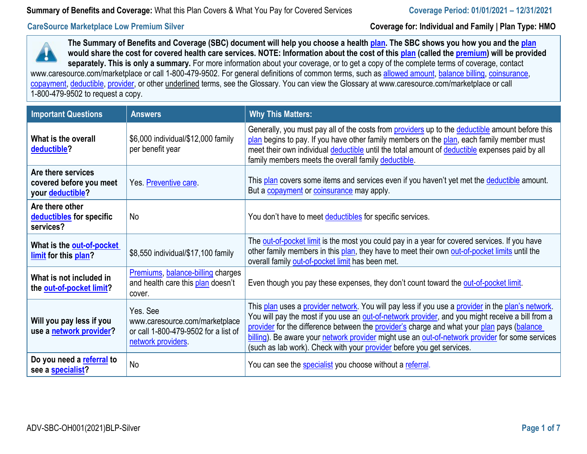## **CareSource Marketplace Low Premium Silver**

**Coverage for: Individual and Family | Plan Type: HMO**



**The Summary of Benefits and Coverage (SBC) document will help you choose a healt[h plan.](https://www.healthcare.gov/sbc-glossary/#plan) The SBC shows you how you and the [plan](https://www.healthcare.gov/sbc-glossary/#plan)  would share the cost for covered health care services. NOTE: Information about the cost of this [plan \(](https://www.healthcare.gov/sbc-glossary/#plan)called the [premium\)](https://www.healthcare.gov/sbc-glossary/#premium) will be provided separately. This is only a summary.** For more information about your coverage, or to get a copy of the complete terms of coverage, contact [www.caresource.com/marketplace o](http://www.caresource.com/marketplace)r call 1-800-479-9502. For general definitions of common terms, such as [allowed amount,](https://www.healthcare.gov/sbc-glossary/#allowed-amount) [balance billing,](https://www.healthcare.gov/sbc-glossary/#balance-billing) coinsurance, [copayment,](https://www.healthcare.gov/sbc-glossary/#copayment) [deductible,](https://www.healthcare.gov/sbc-glossary/#deductible) [provider,](https://www.healthcare.gov/sbc-glossary/#provider) or other underlined terms, see the Glossary. You can view the Glossary at [www.caresource.com/marketplace](http://www.caresource.com/marketplace) or call

1-800-479-9502 to request a copy.

| <b>Important Questions</b>                                        | <b>Answers</b>                                                                                          | <b>Why This Matters:</b>                                                                                                                                                                                                                                                                                                                                                                                                                                                        |
|-------------------------------------------------------------------|---------------------------------------------------------------------------------------------------------|---------------------------------------------------------------------------------------------------------------------------------------------------------------------------------------------------------------------------------------------------------------------------------------------------------------------------------------------------------------------------------------------------------------------------------------------------------------------------------|
| What is the overall<br>deductible?                                | \$6,000 individual/\$12,000 family<br>per benefit year                                                  | Generally, you must pay all of the costs from providers up to the deductible amount before this<br>plan begins to pay. If you have other family members on the plan, each family member must<br>meet their own individual deductible until the total amount of deductible expenses paid by all<br>family members meets the overall family deductible.                                                                                                                           |
| Are there services<br>covered before you meet<br>your deductible? | Yes. Preventive care.                                                                                   | This plan covers some items and services even if you haven't yet met the deductible amount.<br>But a <b>copayment</b> or <b>coinsurance</b> may apply.                                                                                                                                                                                                                                                                                                                          |
| Are there other<br>deductibles for specific<br>services?          | <b>No</b>                                                                                               | You don't have to meet deductibles for specific services.                                                                                                                                                                                                                                                                                                                                                                                                                       |
| What is the out-of-pocket<br>limit for this plan?                 | \$8,550 individual/\$17,100 family                                                                      | The out-of-pocket limit is the most you could pay in a year for covered services. If you have<br>other family members in this plan, they have to meet their own out-of-pocket limits until the<br>overall family out-of-pocket limit has been met.                                                                                                                                                                                                                              |
| What is not included in<br>the out-of-pocket limit?               | Premiums, balance-billing charges<br>and health care this plan doesn't<br>cover.                        | Even though you pay these expenses, they don't count toward the out-of-pocket limit.                                                                                                                                                                                                                                                                                                                                                                                            |
| Will you pay less if you<br>use a network provider?               | Yes. See<br>www.caresource.com/marketplace<br>or call 1-800-479-9502 for a list of<br>network providers | This plan uses a provider network. You will pay less if you use a provider in the plan's network.<br>You will pay the most if you use an out-of-network provider, and you might receive a bill from a<br>provider for the difference between the provider's charge and what your plan pays (balance<br>billing). Be aware your network provider might use an out-of-network provider for some services<br>(such as lab work). Check with your provider before you get services. |
| Do you need a referral to<br>see a specialist?                    | <b>No</b>                                                                                               | You can see the <b>specialist</b> you choose without a referral.                                                                                                                                                                                                                                                                                                                                                                                                                |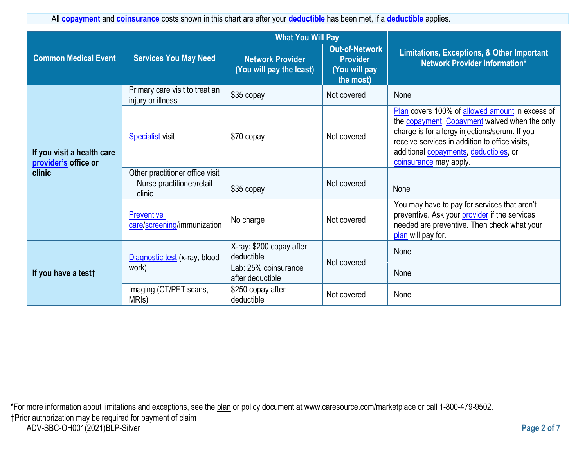All **[copayment](https://www.healthcare.gov/sbc-glossary/#copayment)** and **[coinsurance](https://www.healthcare.gov/sbc-glossary/#coinsurance)** costs shown in this chart are after your **[deductible](https://www.healthcare.gov/sbc-glossary/#deductible)** has been met, if a **[deductible](https://www.healthcare.gov/sbc-glossary/#deductible)** applies.

|                                                              | <b>Services You May Need</b>                                           | <b>What You Will Pay</b>                                                           |                                                                        |                                                                                                                                                                                                                                                                                          |
|--------------------------------------------------------------|------------------------------------------------------------------------|------------------------------------------------------------------------------------|------------------------------------------------------------------------|------------------------------------------------------------------------------------------------------------------------------------------------------------------------------------------------------------------------------------------------------------------------------------------|
| <b>Common Medical Event</b>                                  |                                                                        | <b>Network Provider</b><br>(You will pay the least)                                | <b>Out-of-Network</b><br><b>Provider</b><br>(You will pay<br>the most) | Limitations, Exceptions, & Other Important<br><b>Network Provider Information*</b>                                                                                                                                                                                                       |
|                                                              | Primary care visit to treat an<br>injury or illness                    | \$35 copay                                                                         | Not covered                                                            | None                                                                                                                                                                                                                                                                                     |
| If you visit a health care<br>provider's office or<br>clinic | <b>Specialist visit</b>                                                | \$70 copay                                                                         | Not covered                                                            | Plan covers 100% of allowed amount in excess of<br>the <b>copayment</b> . Copayment waived when the only<br>charge is for allergy injections/serum. If you<br>receive services in addition to office visits,<br>additional <b>copayments</b> , deductibles, or<br>coinsurance may apply. |
|                                                              | Other practitioner office visit<br>Nurse practitioner/retail<br>clinic | \$35 copay                                                                         | Not covered                                                            | None                                                                                                                                                                                                                                                                                     |
|                                                              | <b>Preventive</b><br>care/screening/immunization                       | No charge                                                                          | Not covered                                                            | You may have to pay for services that aren't<br>preventive. Ask your provider if the services<br>needed are preventive. Then check what your<br>plan will pay for.                                                                                                                       |
| If you have a testt                                          | Diagnostic test (x-ray, blood<br>work)                                 | X-ray: \$200 copay after<br>deductible<br>Lab: 25% coinsurance<br>after deductible | Not covered                                                            | None<br>None                                                                                                                                                                                                                                                                             |
|                                                              | Imaging (CT/PET scans,<br>MRI <sub>s</sub> )                           | \$250 copay after<br>deductible                                                    | Not covered                                                            | None                                                                                                                                                                                                                                                                                     |

\*For more information about limitations and exceptions, see the plan or policy document at www.caresource.com/marketplace or call 1-800-479-9502. †Prior authorization may be required for payment of claim ADV-SBC-OH001(2021)BLP-Silver **Page 2 of 7**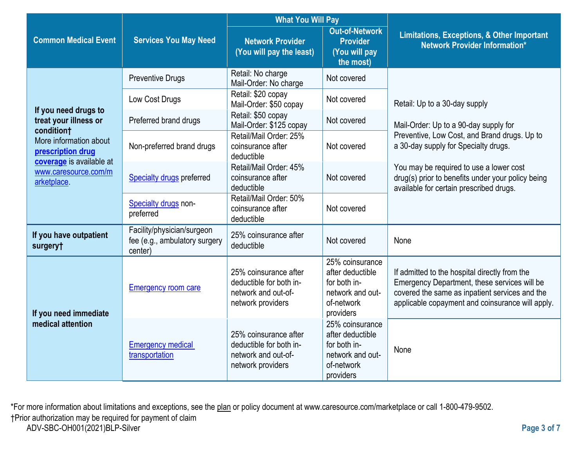|                                                                 |                                                                        | <b>What You Will Pay</b>                                                                     |                                                                                                    |                                                                                                                                                                                                     |  |
|-----------------------------------------------------------------|------------------------------------------------------------------------|----------------------------------------------------------------------------------------------|----------------------------------------------------------------------------------------------------|-----------------------------------------------------------------------------------------------------------------------------------------------------------------------------------------------------|--|
| <b>Common Medical Event</b>                                     | <b>Services You May Need</b>                                           | <b>Network Provider</b><br>(You will pay the least)                                          | <b>Out-of-Network</b><br><b>Provider</b><br>(You will pay<br>the most)                             | <b>Limitations, Exceptions, &amp; Other Important</b><br>Network Provider Information*                                                                                                              |  |
|                                                                 | <b>Preventive Drugs</b>                                                | Retail: No charge<br>Mail-Order: No charge                                                   | Not covered                                                                                        |                                                                                                                                                                                                     |  |
|                                                                 | Low Cost Drugs                                                         | Retail: \$20 copay<br>Mail-Order: \$50 copay                                                 | Not covered                                                                                        | Retail: Up to a 30-day supply                                                                                                                                                                       |  |
| If you need drugs to<br>treat your illness or                   | Preferred brand drugs                                                  | Retail: \$50 copay<br>Mail-Order: \$125 copay                                                | Not covered                                                                                        | Mail-Order: Up to a 90-day supply for                                                                                                                                                               |  |
| condition†<br>More information about<br>prescription drug       | Non-preferred brand drugs                                              | Retail/Mail Order: 25%<br>coinsurance after<br>deductible                                    | Not covered                                                                                        | Preventive, Low Cost, and Brand drugs. Up to<br>a 30-day supply for Specialty drugs.                                                                                                                |  |
| coverage is available at<br>www.caresource.com/m<br>arketplace. | Specialty drugs preferred                                              | Retail/Mail Order: 45%<br>coinsurance after<br>deductible                                    | Not covered                                                                                        | You may be required to use a lower cost<br>drug(s) prior to benefits under your policy being<br>available for certain prescribed drugs.                                                             |  |
|                                                                 | Specialty drugs non-<br>preferred                                      | Retail/Mail Order: 50%<br>coinsurance after<br>deductible                                    | Not covered                                                                                        |                                                                                                                                                                                                     |  |
| If you have outpatient<br>surgery†                              | Facility/physician/surgeon<br>fee (e.g., ambulatory surgery<br>center) | 25% coinsurance after<br>deductible                                                          | Not covered                                                                                        | None                                                                                                                                                                                                |  |
| If you need immediate                                           | <b>Emergency room care</b>                                             | 25% coinsurance after<br>deductible for both in-<br>network and out-of-<br>network providers | 25% coinsurance<br>after deductible<br>for both in-<br>network and out-<br>of-network<br>providers | If admitted to the hospital directly from the<br>Emergency Department, these services will be<br>covered the same as inpatient services and the<br>applicable copayment and coinsurance will apply. |  |
| medical attention                                               | <b>Emergency medical</b><br>transportation                             | 25% coinsurance after<br>deductible for both in-<br>network and out-of-<br>network providers | 25% coinsurance<br>after deductible<br>for both in-<br>network and out-<br>of-network<br>providers | None                                                                                                                                                                                                |  |

\*For more information about limitations and exceptions, see the <u>plan</u> or policy document at www.caresource.com/marketplace or call 1-800-479-9502. †Prior authorization may be required for payment of claim ADV-SBC-OH001(2021)BLP-Silver **Page 3 of 7**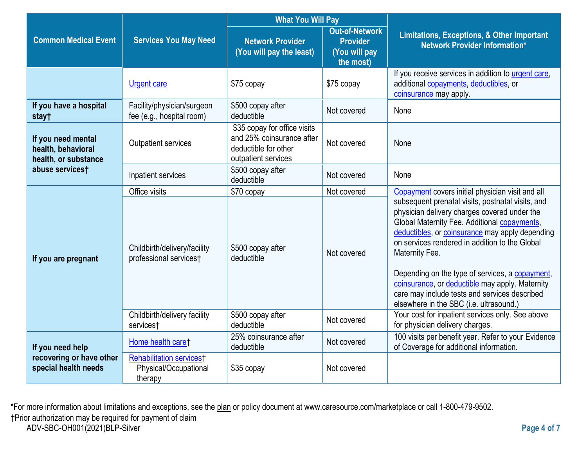|                                                                  |                                                                                 | <b>What You Will Pay</b>                                                                                 |                                                                        |                                                                                                                                                                                                                                                                                                                                                                                                                                                                                                                                |
|------------------------------------------------------------------|---------------------------------------------------------------------------------|----------------------------------------------------------------------------------------------------------|------------------------------------------------------------------------|--------------------------------------------------------------------------------------------------------------------------------------------------------------------------------------------------------------------------------------------------------------------------------------------------------------------------------------------------------------------------------------------------------------------------------------------------------------------------------------------------------------------------------|
| <b>Common Medical Event</b>                                      | <b>Services You May Need</b>                                                    | <b>Network Provider</b><br>(You will pay the least)                                                      | <b>Out-of-Network</b><br><b>Provider</b><br>(You will pay<br>the most) | <b>Limitations, Exceptions, &amp; Other Important</b><br><b>Network Provider Information*</b>                                                                                                                                                                                                                                                                                                                                                                                                                                  |
|                                                                  | <b>Urgent care</b>                                                              | \$75 copay                                                                                               | \$75 copay                                                             | If you receive services in addition to urgent care,<br>additional copayments, deductibles, or<br>coinsurance may apply.                                                                                                                                                                                                                                                                                                                                                                                                        |
| If you have a hospital<br>stay†                                  | Facility/physician/surgeon<br>fee (e.g., hospital room)                         | \$500 copay after<br>deductible                                                                          | Not covered                                                            | None                                                                                                                                                                                                                                                                                                                                                                                                                                                                                                                           |
| If you need mental<br>health, behavioral<br>health, or substance | <b>Outpatient services</b>                                                      | \$35 copay for office visits<br>and 25% coinsurance after<br>deductible for other<br>outpatient services | Not covered                                                            | None                                                                                                                                                                                                                                                                                                                                                                                                                                                                                                                           |
| abuse services†                                                  | Inpatient services                                                              | \$500 copay after<br>deductible                                                                          | Not covered                                                            | None                                                                                                                                                                                                                                                                                                                                                                                                                                                                                                                           |
| If you are pregnant                                              | Office visits<br>Childbirth/delivery/facility<br>professional services†         | \$70 copay<br>\$500 copay after<br>deductible                                                            | Not covered<br>Not covered                                             | Copayment covers initial physician visit and all<br>subsequent prenatal visits, postnatal visits, and<br>physician delivery charges covered under the<br>Global Maternity Fee. Additional copayments,<br>deductibles, or coinsurance may apply depending<br>on services rendered in addition to the Global<br>Maternity Fee.<br>Depending on the type of services, a copayment,<br>coinsurance, or deductible may apply. Maternity<br>care may include tests and services described<br>elsewhere in the SBC (i.e. ultrasound.) |
|                                                                  | Childbirth/delivery facility<br>services†                                       | \$500 copay after<br>deductible                                                                          | Not covered                                                            | Your cost for inpatient services only. See above<br>for physician delivery charges.                                                                                                                                                                                                                                                                                                                                                                                                                                            |
| If you need help                                                 | Home health care†                                                               | 25% coinsurance after<br>deductible                                                                      | Not covered                                                            | 100 visits per benefit year. Refer to your Evidence<br>of Coverage for additional information.                                                                                                                                                                                                                                                                                                                                                                                                                                 |
| recovering or have other<br>special health needs                 | <b>Rehabilitation services</b> <sup>†</sup><br>Physical/Occupational<br>therapy | \$35 copay                                                                                               | Not covered                                                            |                                                                                                                                                                                                                                                                                                                                                                                                                                                                                                                                |

\*For more information about limitations and exceptions, see the <u>plan</u> or policy document at www.caresource.com/marketplace or call 1-800-479-9502. †Prior authorization may be required for payment of claim ADV-SBC-OH001(2021)BLP-Silver **Page 4 of 7**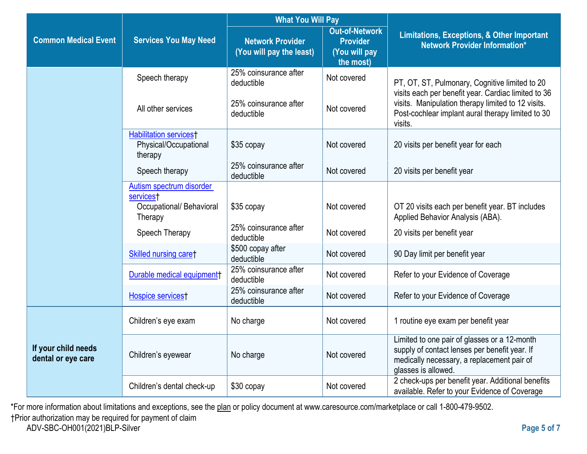|                                           |                                                                   | <b>What You Will Pay</b>                            |                                                                        |                                                                                                                                                                    |  |
|-------------------------------------------|-------------------------------------------------------------------|-----------------------------------------------------|------------------------------------------------------------------------|--------------------------------------------------------------------------------------------------------------------------------------------------------------------|--|
| <b>Common Medical Event</b>               | <b>Services You May Need</b>                                      | <b>Network Provider</b><br>(You will pay the least) | <b>Out-of-Network</b><br><b>Provider</b><br>(You will pay<br>the most) | <b>Limitations, Exceptions, &amp; Other Important</b><br><b>Network Provider Information*</b>                                                                      |  |
|                                           | Speech therapy                                                    | 25% coinsurance after<br>deductible                 | Not covered                                                            | PT, OT, ST, Pulmonary, Cognitive limited to 20<br>visits each per benefit year. Cardiac limited to 36                                                              |  |
|                                           | All other services                                                | 25% coinsurance after<br>deductible                 | Not covered                                                            | visits. Manipulation therapy limited to 12 visits.<br>Post-cochlear implant aural therapy limited to 30<br>visits.                                                 |  |
|                                           | <b>Habilitation servicest</b><br>Physical/Occupational<br>therapy | \$35 copay                                          | Not covered                                                            | 20 visits per benefit year for each                                                                                                                                |  |
|                                           | Speech therapy                                                    | 25% coinsurance after<br>deductible                 | Not covered                                                            | 20 visits per benefit year                                                                                                                                         |  |
|                                           | Autism spectrum disorder<br>services <sup>+</sup>                 |                                                     |                                                                        |                                                                                                                                                                    |  |
|                                           | Occupational/ Behavioral<br>Therapy                               | \$35 copay                                          | Not covered                                                            | OT 20 visits each per benefit year. BT includes<br>Applied Behavior Analysis (ABA).                                                                                |  |
|                                           | Speech Therapy                                                    | 25% coinsurance after<br>deductible                 | Not covered                                                            | 20 visits per benefit year                                                                                                                                         |  |
|                                           | Skilled nursing care†                                             | \$500 copay after<br>deductible                     | Not covered                                                            | 90 Day limit per benefit year                                                                                                                                      |  |
|                                           | Durable medical equipment                                         | 25% coinsurance after<br>deductible                 | Not covered                                                            | Refer to your Evidence of Coverage                                                                                                                                 |  |
|                                           | Hospice services <sup>†</sup>                                     | 25% coinsurance after<br>deductible                 | Not covered                                                            | Refer to your Evidence of Coverage                                                                                                                                 |  |
|                                           | Children's eye exam                                               | No charge                                           | Not covered                                                            | 1 routine eye exam per benefit year                                                                                                                                |  |
| If your child needs<br>dental or eye care | Children's eyewear                                                | No charge                                           | Not covered                                                            | Limited to one pair of glasses or a 12-month<br>supply of contact lenses per benefit year. If<br>medically necessary, a replacement pair of<br>glasses is allowed. |  |
|                                           | Children's dental check-up                                        | \$30 copay                                          | Not covered                                                            | 2 check-ups per benefit year. Additional benefits<br>available. Refer to your Evidence of Coverage                                                                 |  |

\*For more information about limitations and exceptions, see the <u>plan</u> or policy document at www.caresource.com/marketplace or call 1-800-479-9502.

†Prior authorization may be required for payment of claim

ADV-SBC-OH001(2021)BLP-Silver **Page 5 of 7**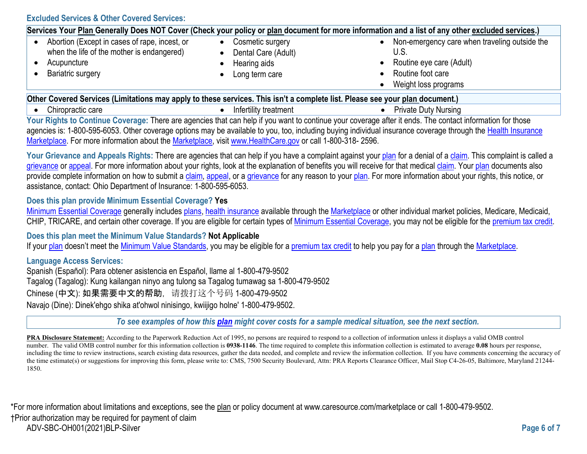**Excluded Services & Other Covered Services:**

|                                               |                     | Services Your Plan Generally Does NOT Cover (Check your policy or plan document for more information and a list of any other excluded services.) |
|-----------------------------------------------|---------------------|--------------------------------------------------------------------------------------------------------------------------------------------------|
| Abortion (Except in cases of rape, incest, or | Cosmetic surgery    | Non-emergency care when traveling outside the                                                                                                    |
| when the life of the mother is endangered)    | Dental Care (Adult) | Routine eye care (Adult)                                                                                                                         |
| Acupuncture                                   | Hearing aids        | Routine foot care                                                                                                                                |
| <b>Bariatric surgery</b>                      | Long term care      | Weight loss programs                                                                                                                             |

**Other Covered Services (Limitations may apply to these services. This isn't a complete list. Please see your [plan d](https://www.healthcare.gov/sbc-glossary/#plan)ocument.)** 

- 
- Chiropractic care *infertility treatment infertility treatment* Private Duty Nursing
	-

Your Rights to Continue Coverage: There are agencies that can help if you want to continue your coverage after it ends. The contact information for those agencies is: 1-800-595-6053. Other coverage options may be available to you, too, including buying individual insurance coverage through the [Health Insurance](https://www.healthcare.gov/sbc-glossary/#health-insurance) [Marketplace.](https://www.healthcare.gov/sbc-glossary/#marketplace) For more information about the [Marketplace,](https://www.healthcare.gov/sbc-glossary/#marketplace) visit [www.HealthCare.gov o](http://www.healthcare.gov/)r call 1-800-318-2596.

Your Grievance and Appeals Rights: There are agencies that can help if you have a complaint against your [plan f](https://www.healthcare.gov/sbc-glossary/#plan)or a denial of [a claim.](https://www.healthcare.gov/sbc-glossary/#claim) This complaint is called a [grievance o](https://www.healthcare.gov/sbc-glossary/#grievance)r [appeal.](https://www.healthcare.gov/sbc-glossary/#appeal) For more information about your rights, look at the explanation of benefits you will receive for that medical [claim.](https://www.healthcare.gov/sbc-glossary/#claim) Your [plan d](https://www.healthcare.gov/sbc-glossary/#plan)ocuments also provide complete information on how to submit a [claim,](https://www.healthcare.gov/sbc-glossary/#claim) [appeal,](https://www.healthcare.gov/sbc-glossary/#appeal) or a [grievance f](https://www.healthcare.gov/sbc-glossary/#grievance)or any reason to your [plan.](https://www.healthcare.gov/sbc-glossary/#plan) For more information about your rights, this notice, or assistance, contact: Ohio Department of Insurance: 1-800-595-6053.

### **Does this plan provide Minimum Essential Coverage? Yes**

[Minimum Essential Coverage g](https://www.healthcare.gov/sbc-glossary/#minimum-essential-coverage)enerally includes [plans,](https://www.healthcare.gov/sbc-glossary/#plan) [health insurance](https://www.healthcare.gov/sbc-glossary/#health-insurance) available through the [Marketplace](https://www.healthcare.gov/sbc-glossary/#marketplace) or other individual market policies, Medicare, Medicaid, CHIP, TRICARE, and certain other coverage. If you are eligible for certain types of [Minimum Essential Coverage,](https://www.healthcare.gov/sbc-glossary/#minimum-essential-coverage) you may not be eligible for the [premium tax credit.](https://www.healthcare.gov/sbc-glossary/#premium-tax-credits)

**Does this plan meet the Minimum Value Standards? Not Applicable** 

If your [plan d](https://www.healthcare.gov/sbc-glossary/#plan)oesn't meet the [Minimum Value Standards,](https://www.healthcare.gov/sbc-glossary/#minimum-value-standard) you may be eligible for a [premium tax credit t](https://www.healthcare.gov/sbc-glossary/#premium-tax-credits)o help you pay for a [plan t](https://www.healthcare.gov/sbc-glossary/#plan)hrough the [Marketplace.](https://www.healthcare.gov/sbc-glossary/#marketplace)

### **Language Access Services:**

Spanish (Español): Para obtener asistencia en Español, llame al 1-800-479-9502 Tagalog (Tagalog): Kung kailangan ninyo ang tulong sa Tagalog tumawag sa 1-800-479-9502 Chinese (中文): 如果需要中文的帮助, 请拨打这个号码 1-800-479-9502 Navajo (Dine): Dinek'ehgo shika at'ohwol ninisingo, kwiijigo holne' 1-800-479-9502.

*To see examples of how this [plan](https://www.healthcare.gov/sbc-glossary/#plan) might cover costs for a sample medical situation, see the next section.*

**PRA Disclosure Statement:** According to the Paperwork Reduction Act of 1995, no persons are required to respond to a collection of information unless it displays a valid OMB control number. The valid OMB control number for this information collection is **0938-1146**. The time required to complete this information collection is estimated to average **0.08** hours per response, including the time to review instructions, search existing data resources, gather the data needed, and complete and review the information collection. If you have comments concerning the accuracy of the time estimate(s) or suggestions for improving this form, please write to: CMS, 7500 Security Boulevard, Attn: PRA Reports Clearance Officer, Mail Stop C4-26-05, Baltimore, Maryland 21244-1850.

\*For more information about limitations and exceptions, see the plan or policy document at www.caresource.com/marketplace or call 1-800-479-9502. †Prior authorization may be required for payment of claim ADV-SBC-OH001(2021)BLP-Silver **Page 6 of 7**